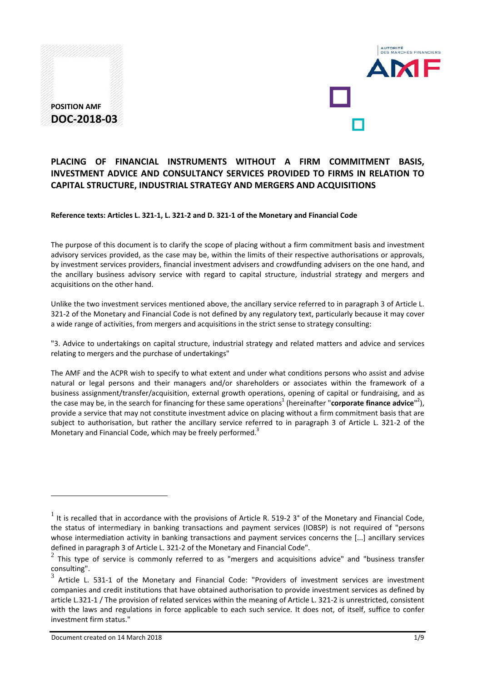



# **PLACING OF FINANCIAL INSTRUMENTS WITHOUT A FIRM COMMITMENT BASIS, INVESTMENT ADVICE AND CONSULTANCY SERVICES PROVIDED TO FIRMS IN RELATION TO CAPITAL STRUCTURE, INDUSTRIAL STRATEGY AND MERGERS AND ACQUISITIONS**

#### Reference texts: Articles L. 321-1, L. 321-2 and D. 321-1 of the Monetary and Financial Code

The purpose of this document is to clarify the scope of placing without a firm commitment basis and investment advisory services provided, as the case may be, within the limits of their respective authorisations or approvals, by investment services providers, financial investment advisers and crowdfunding advisers on the one hand, and the ancillary business advisory service with regard to capital structure, industrial strategy and mergers and acquisitions on the other hand.

Unlike the two investment services mentioned above, the ancillary service referred to in paragraph 3 of Article L. 321-2 of the Monetary and Financial Code is not defined by any regulatory text, particularly because it may cover a wide range of activities, from mergers and acquisitions in the strict sense to strategy consulting:

"3. Advice to undertakings on capital structure, industrial strategy and related matters and advice and services relating to mergers and the purchase of undertakings"

The AMF and the ACPR wish to specify to what extent and under what conditions persons who assist and advise natural or legal persons and their managers and/or shareholders or associates within the framework of a business assignment/transfer/acquisition, external growth operations, opening of capital or fundraising, and as the case may be, in the search for financing for these same operations<sup>1</sup> (hereinafter "**corporate finance advice**"<sup>2</sup>), provide a service that may not constitute investment advice on placing without a firm commitment basis that are subject to authorisation, but rather the ancillary service referred to in paragraph 3 of Article L. 321‐2 of the Monetary and Financial Code, which may be freely performed.<sup>3</sup>

<u>.</u>

 $1$  It is recalled that in accordance with the provisions of Article R. 519-2 3° of the Monetary and Financial Code, the status of intermediary in banking transactions and payment services (IOBSP) is not required of "persons whose intermediation activity in banking transactions and payment services concerns the [...] ancillary services defined in paragraph 3 of Article L. 321-2 of the Monetary and Financial Code".<br>
<sup>2</sup>

<sup>2</sup> This type of service is commonly referred to as "mergers and acquisitions advice" and "business transfer consulting".<br> $\frac{3}{3}$ ....

Article L. 531-1 of the Monetary and Financial Code: "Providers of investment services are investment companies and credit institutions that have obtained authorisation to provide investment services as defined by article L.321‐1 / The provision of related services within the meaning of Article L. 321‐2 is unrestricted, consistent with the laws and regulations in force applicable to each such service. It does not, of itself, suffice to confer investment firm status."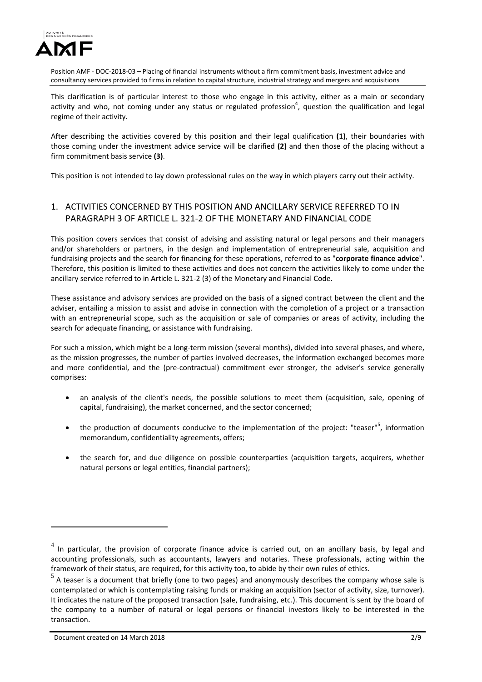

This clarification is of particular interest to those who engage in this activity, either as a main or secondary activity and who, not coming under any status or regulated profession<sup>4</sup>, question the qualification and legal regime of their activity.

After describing the activities covered by this position and their legal qualification **(1)**, their boundaries with those coming under the investment advice service will be clarified **(2)** and then those of the placing without a firm commitment basis service **(3)**.

This position is not intended to lay down professional rules on the way in which players carry out their activity.

# 1. ACTIVITIES CONCERNED BY THIS POSITION AND ANCILLARY SERVICE REFERRED TO IN PARAGRAPH 3 OF ARTICLE L. 321‐2 OF THE MONETARY AND FINANCIAL CODE

This position covers services that consist of advising and assisting natural or legal persons and their managers and/or shareholders or partners, in the design and implementation of entrepreneurial sale, acquisition and fundraising projects and the search for financing for these operations, referred to as "**corporate finance advice**". Therefore, this position is limited to these activities and does not concern the activities likely to come under the ancillary service referred to in Article L. 321‐2 (3) of the Monetary and Financial Code.

These assistance and advisory services are provided on the basis of a signed contract between the client and the adviser, entailing a mission to assist and advise in connection with the completion of a project or a transaction with an entrepreneurial scope, such as the acquisition or sale of companies or areas of activity, including the search for adequate financing, or assistance with fundraising.

For such a mission, which might be a long-term mission (several months), divided into several phases, and where, as the mission progresses, the number of parties involved decreases, the information exchanged becomes more and more confidential, and the (pre-contractual) commitment ever stronger, the adviser's service generally comprises:

- an analysis of the client's needs, the possible solutions to meet them (acquisition, sale, opening of capital, fundraising), the market concerned, and the sector concerned;
- the production of documents conducive to the implementation of the project: "teaser"<sup>5</sup>, information memorandum, confidentiality agreements, offers;
- the search for, and due diligence on possible counterparties (acquisition targets, acquirers, whether natural persons or legal entities, financial partners);

<u>.</u>

 $4$  In particular, the provision of corporate finance advice is carried out, on an ancillary basis, by legal and accounting professionals, such as accountants, lawyers and notaries. These professionals, acting within the framework of their status, are required, for this activity too, to abide by their own rules of ethics.

 $<sup>5</sup>$  A teaser is a document that briefly (one to two pages) and anonymously describes the company whose sale is</sup> contemplated or which is contemplating raising funds or making an acquisition (sector of activity, size, turnover). It indicates the nature of the proposed transaction (sale, fundraising, etc.). This document is sent by the board of the company to a number of natural or legal persons or financial investors likely to be interested in the transaction.

Document created on 14 March 2018 2018 2018 2018 2018 2018 2019 2019 2018 2019 2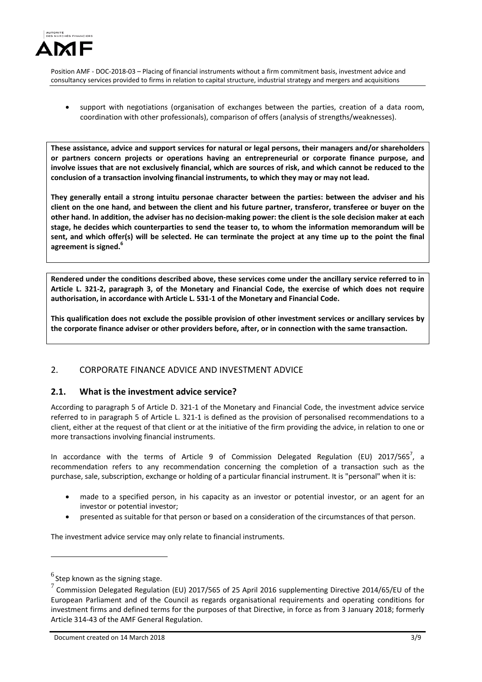

 support with negotiations (organisation of exchanges between the parties, creation of a data room, coordination with other professionals), comparison of offers (analysis of strengths/weaknesses).

**These assistance, advice and support services for natural or legal persons, their managers and/or shareholders or partners concern projects or operations having an entrepreneurial or corporate finance purpose, and** involve issues that are not exclusively financial, which are sources of risk, and which cannot be reduced to the **conclusion of a transaction involving financial instruments, to which they may or may not lead.** 

**They generally entail a strong intuitu personae character between the parties: between the adviser and his** client on the one hand, and between the client and his future partner, transferor, transferee or buyer on the other hand. In addition, the adviser has no decision-making power: the client is the sole decision maker at each **stage, he decides which counterparties to send the teaser to, to whom the information memorandum will be** sent, and which offer(s) will be selected. He can terminate the project at any time up to the point the final **agreement is signed.6**

**Rendered under the conditions described above, these services come under the ancillary service referred to in** Article L. 321-2, paragraph 3, of the Monetary and Financial Code, the exercise of which does not require **authorisation, in accordance with Article L. 531‐1 of the Monetary and Financial Code.**

**This qualification does not exclude the possible provision of other investment services or ancillary services by the corporate finance adviser or other providers before, after, or in connection with the same transaction.**

### 2. CORPORATE FINANCE ADVICE AND INVESTMENT ADVICE

### **2.1. What is the investment advice service?**

According to paragraph 5 of Article D. 321‐1 of the Monetary and Financial Code, the investment advice service referred to in paragraph 5 of Article L. 321‐1 is defined as the provision of personalised recommendations to a client, either at the request of that client or at the initiative of the firm providing the advice, in relation to one or more transactions involving financial instruments.

In accordance with the terms of Article 9 of Commission Delegated Regulation (EU) 2017/565<sup>7</sup>, a recommendation refers to any recommendation concerning the completion of a transaction such as the purchase, sale, subscription, exchange or holding of a particular financial instrument. It is "personal" when it is:

- made to a specified person, in his capacity as an investor or potential investor, or an agent for an investor or potential investor;
- presented as suitable for that person or based on a consideration of the circumstances of that person.

The investment advice service may only relate to financial instruments.

 $^6$  Step known as the signing stage.

<sup>7</sup>Commission Delegated Regulation (EU) 2017/565 of <sup>25</sup> April <sup>2016</sup> supplementing Directive 2014/65/EU of the European Parliament and of the Council as regards organisational requirements and operating conditions for investment firms and defined terms for the purposes of that Directive, in force as from 3 January 2018; formerly Article 314‐43 of the AMF General Regulation.

Document created on 14 March 2018 3/9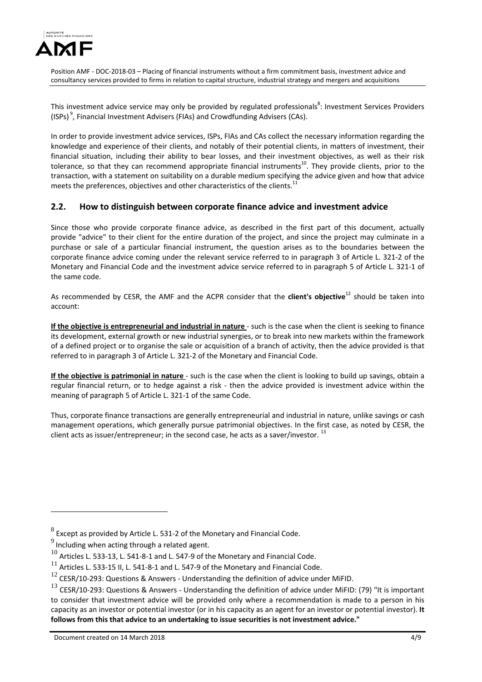

This investment advice service may only be provided by regulated professionals<sup>8</sup>: Investment Services Providers (ISPs)<sup>9</sup>, Financial Investment Advisers (FIAs) and Crowdfunding Advisers (CAs).

In order to provide investment advice services, ISPs, FIAs and CAs collect the necessary information regarding the knowledge and experience of their clients, and notably of their potential clients, in matters of investment, their financial situation, including their ability to bear losses, and their investment objectives, as well as their risk tolerance, so that they can recommend appropriate financial instruments<sup>10</sup>. They provide clients, prior to the transaction, with a statement on suitability on a durable medium specifying the advice given and how that advice meets the preferences, objectives and other characteristics of the clients.<sup>11</sup>

### **2.2. How to distinguish between corporate finance advice and investment advice**

Since those who provide corporate finance advice, as described in the first part of this document, actually provide "advice" to their client for the entire duration of the project, and since the project may culminate in a purchase or sale of a particular financial instrument, the question arises as to the boundaries between the corporate finance advice coming under the relevant service referred to in paragraph 3 of Article L. 321‐2 of the Monetary and Financial Code and the investment advice service referred to in paragraph 5 of Article L. 321‐1 of the same code.

As recommended by CESR, the AMF and the ACPR consider that the **client's objective**<sup>12</sup> should be taken into account:

**If the objective is entrepreneurial and industrial in nature** ‐ such is the case when the client is seeking to finance its development, external growth or new industrial synergies, or to break into new markets within the framework of a defined project or to organise the sale or acquisition of a branch of activity, then the advice provided is that referred to in paragraph 3 of Article L. 321‐2 of the Monetary and Financial Code.

**If the objective is patrimonial in nature** ‐ such is the case when the client is looking to build up savings, obtain a regular financial return, or to hedge against a risk - then the advice provided is investment advice within the meaning of paragraph 5 of Article L. 321‐1 of the same Code.

Thus, corporate finance transactions are generally entrepreneurial and industrial in nature, unlike savings or cash management operations, which generally pursue patrimonial objectives. In the first case, as noted by CESR, the client acts as issuer/entrepreneur; in the second case, he acts as a saver/investor.  $^{13}$ 

Document created on 14 March 2018 4/9

 $8$  Except as provided by Article L. 531-2 of the Monetary and Financial Code.

 $9$  Including when acting through a related agent.

<sup>10</sup> Articles L. 533-13, L. 541-8-1 and L. 547-9 of the Monetary and Financial Code.

<sup>11</sup> Articles L. 533-15 II, L. 541-8-1 and L. 547-9 of the Monetary and Financial Code.

 $12$  CESR/10-293: Questions & Answers - Understanding the definition of advice under MiFID.

<sup>13</sup> CESR/10‐293: Questions & Answers ‐ Understanding the definition of advice under MiFID: (79) "It is important to consider that investment advice will be provided only where a recommendation is made to a person in his capacity as an investor or potential investor (or in his capacity as an agent for an investor or potential investor). **It follows from this that advice to an undertaking to issue securities is not investment advice."**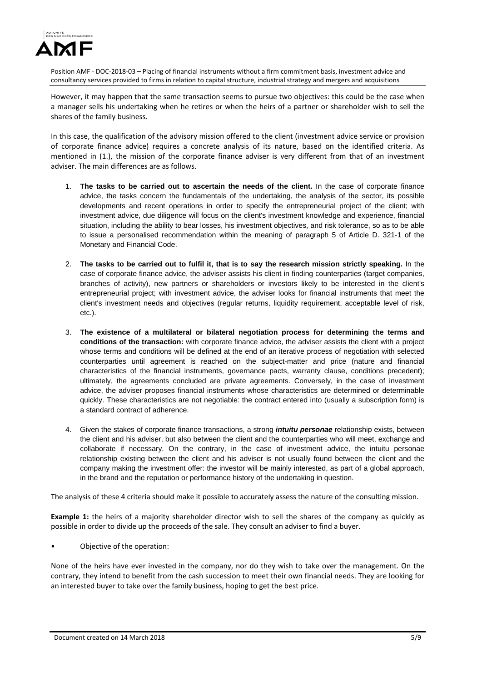

However, it may happen that the same transaction seems to pursue two objectives: this could be the case when a manager sells his undertaking when he retires or when the heirs of a partner or shareholder wish to sell the shares of the family business.

In this case, the qualification of the advisory mission offered to the client (investment advice service or provision of corporate finance advice) requires a concrete analysis of its nature, based on the identified criteria. As mentioned in (1.), the mission of the corporate finance adviser is very different from that of an investment adviser. The main differences are as follows.

- 1. **The tasks to be carried out to ascertain the needs of the client.** In the case of corporate finance advice, the tasks concern the fundamentals of the undertaking, the analysis of the sector, its possible developments and recent operations in order to specify the entrepreneurial project of the client; with investment advice, due diligence will focus on the client's investment knowledge and experience, financial situation, including the ability to bear losses, his investment objectives, and risk tolerance, so as to be able to issue a personalised recommendation within the meaning of paragraph 5 of Article D. 321-1 of the Monetary and Financial Code.
- 2. **The tasks to be carried out to fulfil it, that is to say the research mission strictly speaking.** In the case of corporate finance advice, the adviser assists his client in finding counterparties (target companies, branches of activity), new partners or shareholders or investors likely to be interested in the client's entrepreneurial project; with investment advice, the adviser looks for financial instruments that meet the client's investment needs and objectives (regular returns, liquidity requirement, acceptable level of risk, etc.).
- 3. **The existence of a multilateral or bilateral negotiation process for determining the terms and conditions of the transaction:** with corporate finance advice, the adviser assists the client with a project whose terms and conditions will be defined at the end of an iterative process of negotiation with selected counterparties until agreement is reached on the subject-matter and price (nature and financial characteristics of the financial instruments, governance pacts, warranty clause, conditions precedent); ultimately, the agreements concluded are private agreements. Conversely, in the case of investment advice, the adviser proposes financial instruments whose characteristics are determined or determinable quickly. These characteristics are not negotiable: the contract entered into (usually a subscription form) is a standard contract of adherence.
- 4. Given the stakes of corporate finance transactions, a strong *intuitu personae* relationship exists, between the client and his adviser, but also between the client and the counterparties who will meet, exchange and collaborate if necessary. On the contrary, in the case of investment advice, the intuitu personae relationship existing between the client and his adviser is not usually found between the client and the company making the investment offer: the investor will be mainly interested, as part of a global approach, in the brand and the reputation or performance history of the undertaking in question.

The analysis of these 4 criteria should make it possible to accurately assess the nature of the consulting mission.

**Example 1:** the heirs of a majority shareholder director wish to sell the shares of the company as quickly as possible in order to divide up the proceeds of the sale. They consult an adviser to find a buyer.

Objective of the operation:

None of the heirs have ever invested in the company, nor do they wish to take over the management. On the contrary, they intend to benefit from the cash succession to meet their own financial needs. They are looking for an interested buyer to take over the family business, hoping to get the best price.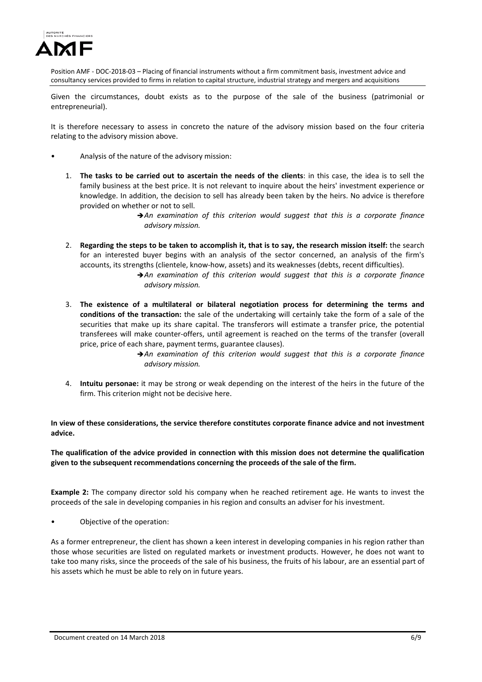

Given the circumstances, doubt exists as to the purpose of the sale of the business (patrimonial or entrepreneurial).

It is therefore necessary to assess in concreto the nature of the advisory mission based on the four criteria relating to the advisory mission above.

- Analysis of the nature of the advisory mission:
	- 1. **The tasks to be carried out to ascertain the needs of the clients**: in this case, the idea is to sell the family business at the best price. It is not relevant to inquire about the heirs' investment experience or knowledge. In addition, the decision to sell has already been taken by the heirs. No advice is therefore provided on whether or not to sell.
		- *An examination of this criterion would suggest that this is a corporate finance advisory mission.*
	- 2. Regarding the steps to be taken to accomplish it, that is to say, the research mission itself: the search for an interested buyer begins with an analysis of the sector concerned, an analysis of the firm's accounts, its strengths (clientele, know‐how, assets) and its weaknesses (debts, recent difficulties).
		- *An examination of this criterion would suggest that this is a corporate finance advisory mission.*
	- 3. **The existence of a multilateral or bilateral negotiation process for determining the terms and conditions of the transaction:** the sale of the undertaking will certainly take the form of a sale of the securities that make up its share capital. The transferors will estimate a transfer price, the potential transferees will make counter‐offers, until agreement is reached on the terms of the transfer (overall price, price of each share, payment terms, guarantee clauses).

*An examination of this criterion would suggest that this is a corporate finance advisory mission.*

4. **Intuitu personae:** it may be strong or weak depending on the interest of the heirs in the future of the firm. This criterion might not be decisive here.

**In view of these considerations, the service therefore constitutes corporate finance advice and not investment advice.** 

**The qualification of the advice provided in connection with this mission does not determine the qualification given to the subsequent recommendations concerning the proceeds of the sale of the firm.**

**Example 2:** The company director sold his company when he reached retirement age. He wants to invest the proceeds of the sale in developing companies in his region and consults an adviser for his investment.

• Objective of the operation:

As a former entrepreneur, the client has shown a keen interest in developing companies in his region rather than those whose securities are listed on regulated markets or investment products. However, he does not want to take too many risks, since the proceeds of the sale of his business, the fruits of his labour, are an essential part of his assets which he must be able to rely on in future years.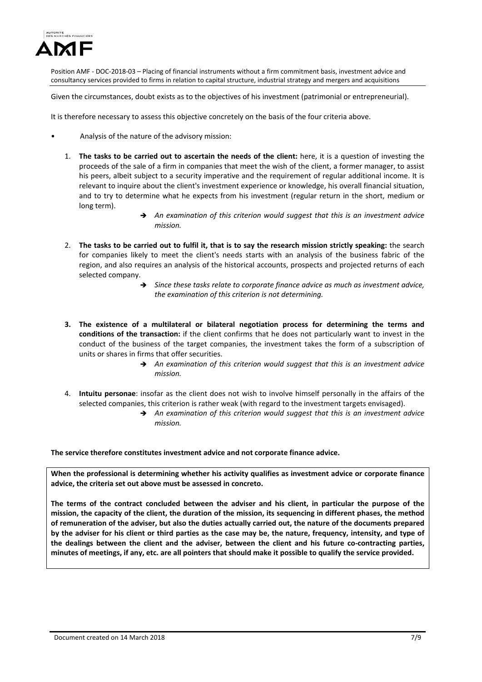

Given the circumstances, doubt exists as to the objectives of his investment (patrimonial or entrepreneurial).

It is therefore necessary to assess this objective concretely on the basis of the four criteria above.

- Analysis of the nature of the advisory mission:
	- 1. **The tasks to be carried out to ascertain the needs of the client:** here, it is a question of investing the proceeds of the sale of a firm in companies that meet the wish of the client, a former manager, to assist his peers, albeit subject to a security imperative and the requirement of regular additional income. It is relevant to inquire about the client's investment experience or knowledge, his overall financial situation, and to try to determine what he expects from his investment (regular return in the short, medium or long term).
		- *An examination of this criterion would suggest that this is an investment advice mission.*
	- 2. The tasks to be carried out to fulfil it, that is to say the research mission strictly speaking: the search for companies likely to meet the client's needs starts with an analysis of the business fabric of the region, and also requires an analysis of the historical accounts, prospects and projected returns of each selected company.
		- *Since these tasks relate to corporate finance advice as much as investment advice, the examination of this criterion is not determining.*
	- **3. The existence of a multilateral or bilateral negotiation process for determining the terms and conditions of the transaction:** if the client confirms that he does not particularly want to invest in the conduct of the business of the target companies, the investment takes the form of a subscription of units or shares in firms that offer securities.
		- *An examination of this criterion would suggest that this is an investment advice mission.*
	- 4. **Intuitu personae**: insofar as the client does not wish to involve himself personally in the affairs of the selected companies, this criterion is rather weak (with regard to the investment targets envisaged).
		- *An examination of this criterion would suggest that this is an investment advice mission.*

**The service therefore constitutes investment advice and not corporate finance advice.**

**When the professional is determining whether his activity qualifies as investment advice or corporate finance advice, the criteria set out above must be assessed in concreto.** 

The terms of the contract concluded between the adviser and his client, in particular the purpose of the mission, the capacity of the client, the duration of the mission, its sequencing in different phases, the method of remuneration of the adviser, but also the duties actually carried out, the nature of the documents prepared by the adviser for his client or third parties as the case may be, the nature, frequency, intensity, and type of the dealings between the client and the adviser, between the client and his future co-contracting parties, minutes of meetings, if any, etc. are all pointers that should make it possible to qualify the service provided.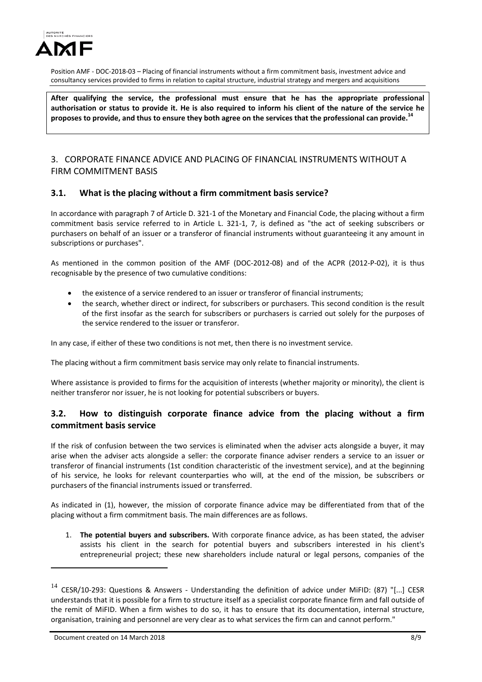

**After qualifying the service, the professional must ensure that he has the appropriate professional** authorisation or status to provide it. He is also required to inform his client of the nature of the service he proposes to provide, and thus to ensure they both agree on the services that the professional can provide.<sup>14</sup>

### 3. CORPORATE FINANCE ADVICE AND PLACING OF FINANCIAL INSTRUMENTS WITHOUT A FIRM COMMITMENT BASIS

### **3.1. What is the placing without a firm commitment basis service?**

In accordance with paragraph 7 of Article D. 321‐1 of the Monetary and Financial Code, the placing without a firm commitment basis service referred to in Article L. 321‐1, 7, is defined as "the act of seeking subscribers or purchasers on behalf of an issuer or a transferor of financial instruments without guaranteeing it any amount in subscriptions or purchases".

As mentioned in the common position of the AMF (DOC-2012-08) and of the ACPR (2012-P-02), it is thus recognisable by the presence of two cumulative conditions:

- the existence of a service rendered to an issuer or transferor of financial instruments;
- the search, whether direct or indirect, for subscribers or purchasers. This second condition is the result of the first insofar as the search for subscribers or purchasers is carried out solely for the purposes of the service rendered to the issuer or transferor.

In any case, if either of these two conditions is not met, then there is no investment service.

The placing without a firm commitment basis service may only relate to financial instruments.

Where assistance is provided to firms for the acquisition of interests (whether majority or minority), the client is neither transferor nor issuer, he is not looking for potential subscribers or buyers.

## **3.2. How to distinguish corporate finance advice from the placing without a firm commitment basis service**

If the risk of confusion between the two services is eliminated when the adviser acts alongside a buyer, it may arise when the adviser acts alongside a seller: the corporate finance adviser renders a service to an issuer or transferor of financial instruments (1st condition characteristic of the investment service), and at the beginning of his service, he looks for relevant counterparties who will, at the end of the mission, be subscribers or purchasers of the financial instruments issued or transferred.

As indicated in (1), however, the mission of corporate finance advice may be differentiated from that of the placing without a firm commitment basis. The main differences are as follows.

1. **The potential buyers and subscribers.** With corporate finance advice, as has been stated, the adviser assists his client in the search for potential buyers and subscribers interested in his client's entrepreneurial project; these new shareholders include natural or legal persons, companies of the

<sup>&</sup>lt;sup>14</sup> CESR/10-293: Questions & Answers - Understanding the definition of advice under MiFID: (87) "[...] CESR understands that it is possible for a firm to structure itself as a specialist corporate finance firm and fall outside of the remit of MiFID. When a firm wishes to do so, it has to ensure that its documentation, internal structure, organisation, training and personnel are very clear as to what services the firm can and cannot perform."

Document created on 14 March 2018 8/9